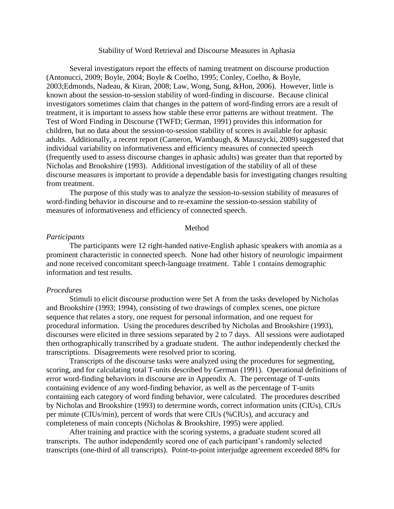# Stability of Word Retrieval and Discourse Measures in Aphasia

Several investigators report the effects of naming treatment on discourse production (Antonucci, 2009; Boyle, 2004; Boyle & Coelho, 1995; Conley, Coelho, & Boyle, 2003;Edmonds, Nadeau, & Kiran, 2008; Law, Wong, Sung, &Hon, 2006). However, little is known about the session-to-session stability of word-finding in discourse. Because clinical investigators sometimes claim that changes in the pattern of word-finding errors are a result of treatment, it is important to assess how stable these error patterns are without treatment. The Test of Word Finding in Discourse (TWFD; German, 1991) provides this information for children, but no data about the session-to-session stability of scores is available for aphasic adults. Additionally, a recent report (Cameron, Wambaugh, & Mauszycki, 2009) suggested that individual variability on informativeness and efficiency measures of connected speech (frequently used to assess discourse changes in aphasic adults) was greater than that reported by Nicholas and Brookshire (1993). Additional investigation of the stability of all of these discourse measures is important to provide a dependable basis for investigating changes resulting from treatment.

The purpose of this study was to analyze the session-to-session stability of measures of word-finding behavior in discourse and to re-examine the session-to-session stability of measures of informativeness and efficiency of connected speech.

## **Method**

# *Participants*

The participants were 12 right-handed native-English aphasic speakers with anomia as a prominent characteristic in connected speech. None had other history of neurologic impairment and none received concomitant speech-language treatment. Table 1 contains demographic information and test results.

# *Procedures*

Stimuli to elicit discourse production were Set A from the tasks developed by Nicholas and Brookshire (1993; 1994), consisting of two drawings of complex scenes, one picture sequence that relates a story, one request for personal information, and one request for procedural information. Using the procedures described by Nicholas and Brookshire (1993), discourses were elicited in three sessions separated by 2 to 7 days. All sessions were audiotaped then orthographically transcribed by a graduate student. The author independently checked the transcriptions. Disagreements were resolved prior to scoring.

Transcripts of the discourse tasks were analyzed using the procedures for segmenting, scoring, and for calculating total T-units described by German (1991). Operational definitions of error word-finding behaviors in discourse are in Appendix A. The percentage of T-units containing evidence of any word-finding behavior, as well as the percentage of T-units containing each category of word finding behavior, were calculated. The procedures described by Nicholas and Brookshire (1993) to determine words, correct information units (CIUs), CIUs per minute (CIUs/min), percent of words that were CIUs (%CIUs), and accuracy and completeness of main concepts (Nicholas & Brookshire, 1995) were applied.

After training and practice with the scoring systems, a graduate student scored all transcripts. The author independently scored one of each participant's randomly selected transcripts (one-third of all transcripts). Point-to-point interjudge agreement exceeded 88% for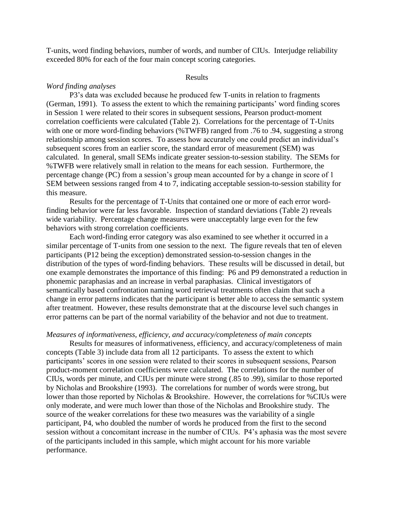T-units, word finding behaviors, number of words, and number of CIUs. Interjudge reliability exceeded 80% for each of the four main concept scoring categories.

#### Results

# *Word finding analyses*

P3's data was excluded because he produced few T-units in relation to fragments (German, 1991). To assess the extent to which the remaining participants' word finding scores in Session 1 were related to their scores in subsequent sessions, Pearson product-moment correlation coefficients were calculated (Table 2). Correlations for the percentage of T-Units with one or more word-finding behaviors (%TWFB) ranged from .76 to .94, suggesting a strong relationship among session scores. To assess how accurately one could predict an individual's subsequent scores from an earlier score, the standard error of measurement (SEM) was calculated. In general, small SEMs indicate greater session-to-session stability. The SEMs for %TWFB were relatively small in relation to the means for each session. Furthermore, the percentage change (PC) from a session's group mean accounted for by a change in score of 1 SEM between sessions ranged from 4 to 7, indicating acceptable session-to-session stability for this measure.

Results for the percentage of T-Units that contained one or more of each error wordfinding behavior were far less favorable. Inspection of standard deviations (Table 2) reveals wide variability. Percentage change measures were unacceptably large even for the few behaviors with strong correlation coefficients.

Each word-finding error category was also examined to see whether it occurred in a similar percentage of T-units from one session to the next. The figure reveals that ten of eleven participants (P12 being the exception) demonstrated session-to-session changes in the distribution of the types of word-finding behaviors. These results will be discussed in detail, but one example demonstrates the importance of this finding: P6 and P9 demonstrated a reduction in phonemic paraphasias and an increase in verbal paraphasias. Clinical investigators of semantically based confrontation naming word retrieval treatments often claim that such a change in error patterns indicates that the participant is better able to access the semantic system after treatment. However, these results demonstrate that at the discourse level such changes in error patterns can be part of the normal variability of the behavior and not due to treatment.

#### *Measures of informativeness, efficiency, and accuracy/completeness of main concepts*

Results for measures of informativeness, efficiency, and accuracy/completeness of main concepts (Table 3) include data from all 12 participants. To assess the extent to which participants' scores in one session were related to their scores in subsequent sessions, Pearson product-moment correlation coefficients were calculated. The correlations for the number of CIUs, words per minute, and CIUs per minute were strong (.85 to .99), similar to those reported by Nicholas and Brookshire (1993). The correlations for number of words were strong, but lower than those reported by Nicholas & Brookshire. However, the correlations for %CIUs were only moderate, and were much lower than those of the Nicholas and Brookshire study. The source of the weaker correlations for these two measures was the variability of a single participant, P4, who doubled the number of words he produced from the first to the second session without a concomitant increase in the number of CIUs. P4's aphasia was the most severe of the participants included in this sample, which might account for his more variable performance.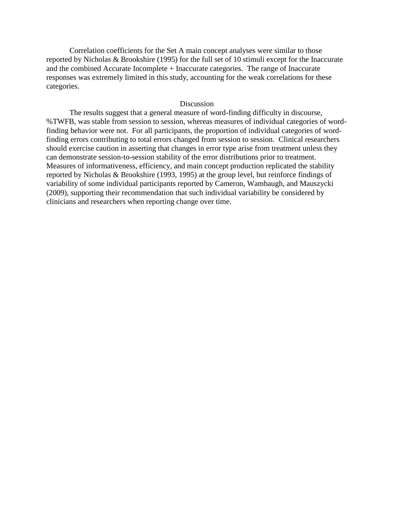Correlation coefficients for the Set A main concept analyses were similar to those reported by Nicholas & Brookshire (1995) for the full set of 10 stimuli except for the Inaccurate and the combined Accurate Incomplete + Inaccurate categories. The range of Inaccurate responses was extremely limited in this study, accounting for the weak correlations for these categories.

## **Discussion**

The results suggest that a general measure of word-finding difficulty in discourse, %TWFB, was stable from session to session, whereas measures of individual categories of wordfinding behavior were not. For all participants, the proportion of individual categories of wordfinding errors contributing to total errors changed from session to session. Clinical researchers should exercise caution in asserting that changes in error type arise from treatment unless they can demonstrate session-to-session stability of the error distributions prior to treatment. Measures of informativeness, efficiency, and main concept production replicated the stability reported by Nicholas & Brookshire (1993, 1995) at the group level, but reinforce findings of variability of some individual participants reported by Cameron, Wambaugh, and Mauszycki (2009), supporting their recommendation that such individual variability be considered by clinicians and researchers when reporting change over time.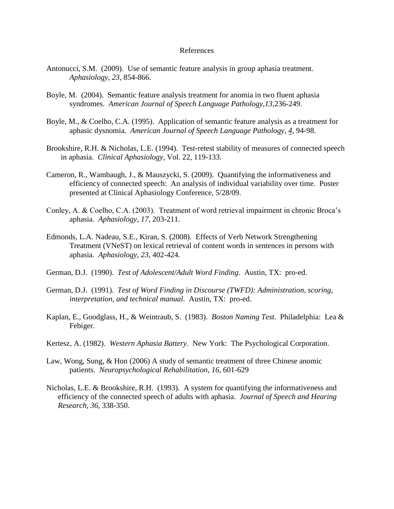#### References

- Antonucci, S.M. (2009). Use of semantic feature analysis in group aphasia treatment. *Aphasiology*, *23*, 854-866.
- Boyle, M. (2004). Semantic feature analysis treatment for anomia in two fluent aphasia syndromes. *American Journal of Speech Language Pathology,13,*236-249.
- Boyle, M., & Coelho, C.A. (1995). Application of semantic feature analysis as a treatment for aphasic dysnomia. *American Journal of Speech Language Pathology, 4,* 94-98.
- Brookshire, R.H. & Nicholas, L.E. (1994). Test-retest stability of measures of connected speech in aphasia. *Clinical Aphasiology*, Vol. 22, 119-133.
- Cameron, R., Wambaugh, J., & Mauszycki, S. (2009). Quantifying the informativeness and efficiency of connected speech: An analysis of individual variability over time. Poster presented at Clinical Aphasiology Conference, 5/28/09.
- Conley, A. & Coelho, C.A. (2003). Treatment of word retrieval impairment in chronic Broca's aphasia. *Aphasiology*, *17*, 203-211.
- Edmonds, L.A. Nadeau, S.E., Kiran, S. (2008). Effects of Verb Network Strengthening Treatment (VNeST) on lexical retrieval of content words in sentences in persons with aphasia. *Aphasiology*, *23*, 402-424.
- German, D.J. (1990). *Test of Adolescent/Adult Word Finding*. Austin, TX: pro-ed.
- German, D.J. (1991). *Test of Word Finding in Discourse (TWFD): Administration, scoring, interpretation, and technical manual*. Austin, TX: pro-ed.
- Kaplan, E., Goodglass, H., & Weintraub, S. (1983). *Boston Naming Test*. Philadelphia: Lea & Febiger.
- Kertesz, A. (1982). *Western Aphasia Battery*. New York: The Psychological Corporation.
- Law, Wong, Sung, & Hon (2006) A study of semantic treatment of three Chinese anomic patients. *Neuropsychological Rehabilitation*, *16*, 601-629
- Nicholas, L.E. & Brookshire, R.H. (1993). A system for quantifying the informativeness and efficiency of the connected speech of adults with aphasia. *Journal of Speech and Hearing Research*, *36*, 338-350.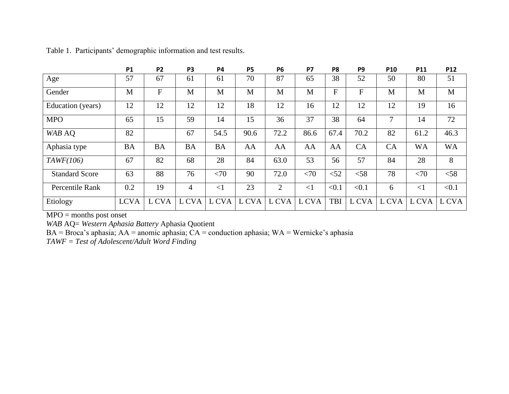|                       | <b>P1</b>   | P <sub>2</sub> | P <sub>3</sub> | <b>P4</b> | <b>P5</b> | <b>P6</b>      | <b>P7</b> | P <sub>8</sub> | P <sub>9</sub> | <b>P10</b> | P11       | P12       |
|-----------------------|-------------|----------------|----------------|-----------|-----------|----------------|-----------|----------------|----------------|------------|-----------|-----------|
| Age                   | 57          | 67             | 61             | 61        | 70        | 87             | 65        | 38             | 52             | 50         | 80        | 51        |
| Gender                | M           | $\mathbf{F}$   | M              | M         | M         | M              | M         | $\mathbf F$    | ${\bf F}$      | M          | M         | M         |
| Education (years)     | 12          | 12             | 12             | 12        | 18        | 12             | 16        | 12             | 12             | 12         | 19        | 16        |
| <b>MPO</b>            | 65          | 15             | 59             | 14        | 15        | 36             | 37        | 38             | 64             | 7          | 14        | 72        |
| WAB AQ                | 82          |                | 67             | 54.5      | 90.6      | 72.2           | 86.6      | 67.4           | 70.2           | 82         | 61.2      | 46.3      |
| Aphasia type          | <b>BA</b>   | <b>BA</b>      | <b>BA</b>      | <b>BA</b> | AA        | AA             | AA        | AA             | CA             | CA         | <b>WA</b> | <b>WA</b> |
| TAWF(106)             | 67          | 82             | 68             | 28        | 84        | 63.0           | 53        | 56             | 57             | 84         | 28        | 8         |
| <b>Standard Score</b> | 63          | 88             | 76             | <70       | 90        | 72.0           | <70       | < 52           | $<$ 58         | 78         | <70       | $<$ 58    |
| Percentile Rank       | 0.2         | 19             | 4              | $\leq$ 1  | 23        | $\overline{2}$ | $\leq$ 1  | < 0.1          | < 0.1          | 6          | $\leq$ 1  | < 0.1     |
| Etiology              | <b>LCVA</b> | L CVA          | L CVA          | L CVA     | L CVA     | L CVA          | L CVA     | TBI            | L CVA          | L CVA      | L CVA     | L CVA     |

Table 1. Participants' demographic information and test results.

MPO = months post onset

*WAB* AQ= *Western Aphasia Battery* Aphasia Quotient

 $BA = Broca's aphasia$ ;  $AA = anomic aphasia$ ;  $CA = conduction aphasia$ ;  $WA = Wernicke's aphasia$ 

*TAWF = Test of Adolescent/Adult Word Finding*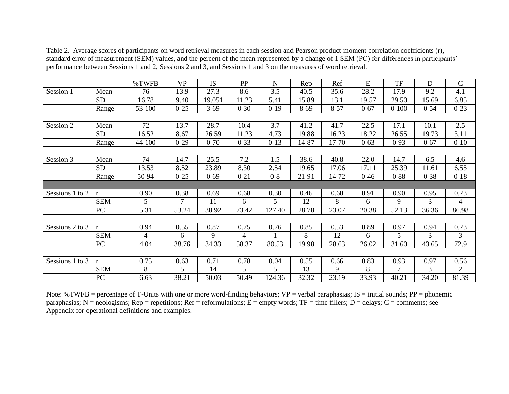Table 2. Average scores of participants on word retrieval measures in each session and Pearson product-moment correlation coefficients (r), standard error of measurement (SEM) values, and the percent of the mean represented by a change of 1 SEM (PC) for differences in participants' performance between Sessions 1 and 2, Sessions 2 and 3, and Sessions 1 and 3 on the measures of word retrieval.

|                 |              | %TWFB  | <b>VP</b> | <b>IS</b> | PP             | N        | Rep   | Ref      | E        | TF        | D        | $\mathsf{C}$   |
|-----------------|--------------|--------|-----------|-----------|----------------|----------|-------|----------|----------|-----------|----------|----------------|
| Session 1       | Mean         | 76     | 13.9      | 27.3      | 8.6            | 3.5      | 40.5  | 35.6     | 28.2     | 17.9      | 9.2      | 4.1            |
|                 | <b>SD</b>    | 16.78  | 9.40      | 19.051    | 11.23          | 5.41     | 15.89 | 13.1     | 19.57    | 29.50     | 15.69    | 6.85           |
|                 | Range        | 53-100 | $0 - 25$  | $3-69$    | $0 - 30$       | $0-19$   | 8-69  | $8 - 57$ | $0 - 67$ | $0 - 100$ | $0 - 54$ | $0-23$         |
|                 |              |        |           |           |                |          |       |          |          |           |          |                |
| Session 2       | Mean         | 72     | 13.7      | 28.7      | 10.4           | 3.7      | 41.2  | 41.7     | 22.5     | 17.1      | 10.1     | 2.5            |
|                 | <b>SD</b>    | 16.52  | 8.67      | 26.59     | 11.23          | 4.73     | 19.88 | 16.23    | 18.22    | 26.55     | 19.73    | 3.11           |
|                 | Range        | 44-100 | $0-29$    | $0 - 70$  | $0 - 33$       | $0 - 13$ | 14-87 | 17-70    | $0 - 63$ | $0 - 93$  | $0 - 67$ | $0 - 10$       |
|                 |              |        |           |           |                |          |       |          |          |           |          |                |
| Session 3       | Mean         | 74     | 14.7      | 25.5      | 7.2            | 1.5      | 38.6  | 40.8     | 22.0     | 14.7      | 6.5      | 4.6            |
|                 | <b>SD</b>    | 13.53  | 8.52      | 23.89     | 8.30           | 2.54     | 19.65 | 17.06    | 17.11    | 25.39     | 11.61    | 6.55           |
|                 | Range        | 50-94  | $0 - 25$  | $0 - 69$  | $0 - 21$       | $0-8$    | 21-91 | 14-72    | $0 - 46$ | $0 - 88$  | $0 - 38$ | $0 - 18$       |
|                 |              |        |           |           |                |          |       |          |          |           |          |                |
| Sessions 1 to 2 | $\mathbf{r}$ | 0.90   | 0.38      | 0.69      | 0.68           | 0.30     | 0.46  | 0.60     | 0.91     | 0.90      | 0.95     | 0.73           |
|                 | <b>SEM</b>   | 5      | 7         | 11        | 6              | 5        | 12    | 8        | 6        | 9         | 3        | 4              |
|                 | PC           | 5.31   | 53.24     | 38.92     | 73.42          | 127.40   | 28.78 | 23.07    | 20.38    | 52.13     | 36.36    | 86.98          |
|                 |              |        |           |           |                |          |       |          |          |           |          |                |
| Sessions 2 to 3 | $\mathbf{r}$ | 0.94   | 0.55      | 0.87      | 0.75           | 0.76     | 0.85  | 0.53     | 0.89     | 0.97      | 0.94     | 0.73           |
|                 | <b>SEM</b>   | 4      | 6         | 9         | $\overline{4}$ |          | 8     | 12       | 6        | 5         | 3        | 3              |
|                 | PC           | 4.04   | 38.76     | 34.33     | 58.37          | 80.53    | 19.98 | 28.63    | 26.02    | 31.60     | 43.65    | 72.9           |
|                 |              |        |           |           |                |          |       |          |          |           |          |                |
| Sessions 1 to 3 | $\mathbf{r}$ | 0.75   | 0.63      | 0.71      | 0.78           | 0.04     | 0.55  | 0.66     | 0.83     | 0.93      | 0.97     | 0.56           |
|                 | <b>SEM</b>   | 8      | 5         | 14        | 5.             | 5        | 13    | 9        | 8        | 7         | 3        | $\overline{2}$ |
|                 | PC           | 6.63   | 38.21     | 50.03     | 50.49          | 124.36   | 32.32 | 23.19    | 33.93    | 40.21     | 34.20    | 81.39          |

Note: %TWFB = percentage of T-Units with one or more word-finding behaviors;  $VP =$  verbal paraphasias; IS = initial sounds;  $PP =$  phonemic paraphasias;  $N =$  neologisms; Rep = repetitions; Ref = reformulations; E = empty words; TF = time fillers; D = delays; C = comments; see Appendix for operational definitions and examples.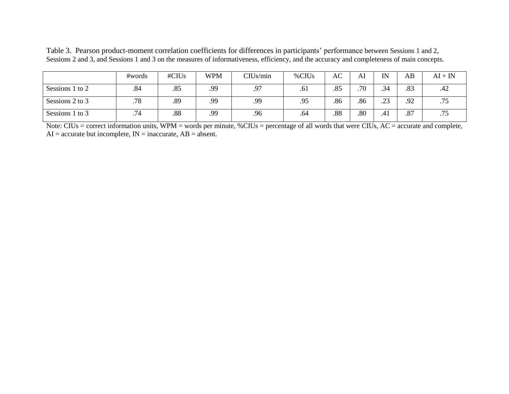| Table 3. Pearson product-moment correlation coefficients for differences in participants' performance between Sessions 1 and 2,            |  |  |  |  |
|--------------------------------------------------------------------------------------------------------------------------------------------|--|--|--|--|
| Sessions 2 and 3, and Sessions 1 and 3 on the measures of informativeness, efficiency, and the accuracy and completeness of main concepts. |  |  |  |  |

|                 | #words | #CIUs | <b>WPM</b> | CIUs/min | %CIUs | AC  | AI  | IN              | AB  | $AI + IN$   |
|-----------------|--------|-------|------------|----------|-------|-----|-----|-----------------|-----|-------------|
| Sessions 1 to 2 | .84    | .85   | .99        | .97      | .61   | .85 | .70 | .34             | .83 | .42         |
| Sessions 2 to 3 | .78    | .89   | .99        | .99      | .95   | .86 | .86 | $\cap$<br>ن ڪ و | .92 | ر ، ،       |
| Sessions 1 to 3 | .74    | .88   | .99        | .96      | .64   | .88 | .80 | .41             | .87 | $\tau$<br>. |

Note: CIUs = correct information units, WPM = words per minute, %CIUs = percentage of all words that were CIUs, AC = accurate and complete,  $AI =$  accurate but incomplete,  $IN =$  inaccurate,  $AB =$  absent.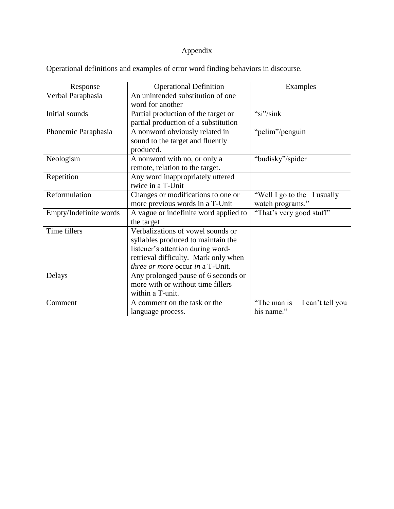# Appendix

Operational definitions and examples of error word finding behaviors in discourse.

| Response               | <b>Operational Definition</b>         | Examples                         |  |  |  |  |
|------------------------|---------------------------------------|----------------------------------|--|--|--|--|
| Verbal Paraphasia      | An unintended substitution of one     |                                  |  |  |  |  |
|                        | word for another                      |                                  |  |  |  |  |
| Initial sounds         | Partial production of the target or   | $\overline{\text{``si''}}$ /sink |  |  |  |  |
|                        | partial production of a substitution  |                                  |  |  |  |  |
| Phonemic Paraphasia    | A nonword obviously related in        | "pelim"/penguin                  |  |  |  |  |
|                        | sound to the target and fluently      |                                  |  |  |  |  |
|                        | produced.                             |                                  |  |  |  |  |
| Neologism              | A nonword with no, or only a          | "budisky"/spider                 |  |  |  |  |
|                        | remote, relation to the target.       |                                  |  |  |  |  |
| Repetition             | Any word inappropriately uttered      |                                  |  |  |  |  |
|                        | twice in a T-Unit                     |                                  |  |  |  |  |
| Reformulation          | Changes or modifications to one or    | "Well I go to the I usually      |  |  |  |  |
|                        | more previous words in a T-Unit       | watch programs."                 |  |  |  |  |
| Empty/Indefinite words | A vague or indefinite word applied to | "That's very good stuff"         |  |  |  |  |
|                        | the target                            |                                  |  |  |  |  |
| Time fillers           | Verbalizations of vowel sounds or     |                                  |  |  |  |  |
|                        | syllables produced to maintain the    |                                  |  |  |  |  |
|                        | listener's attention during word-     |                                  |  |  |  |  |
|                        | retrieval difficulty. Mark only when  |                                  |  |  |  |  |
|                        | three or more occur in a T-Unit.      |                                  |  |  |  |  |
| Delays                 | Any prolonged pause of 6 seconds or   |                                  |  |  |  |  |
|                        | more with or without time fillers     |                                  |  |  |  |  |
|                        | within a T-unit.                      |                                  |  |  |  |  |
| Comment                | A comment on the task or the          | "The man is"<br>I can't tell you |  |  |  |  |
|                        | language process.                     | his name."                       |  |  |  |  |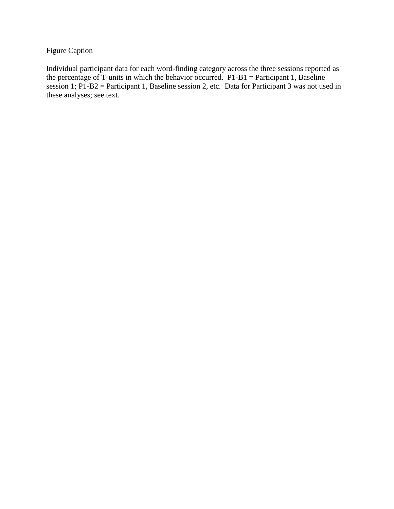Figure Caption

Individual participant data for each word-finding category across the three sessions reported as the percentage of T-units in which the behavior occurred.  $P1-B1 =$  Participant 1, Baseline session 1; P1-B2 = Participant 1, Baseline session 2, etc. Data for Participant 3 was not used in these analyses; see text.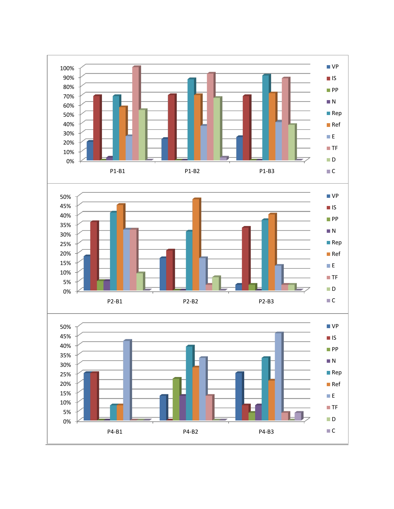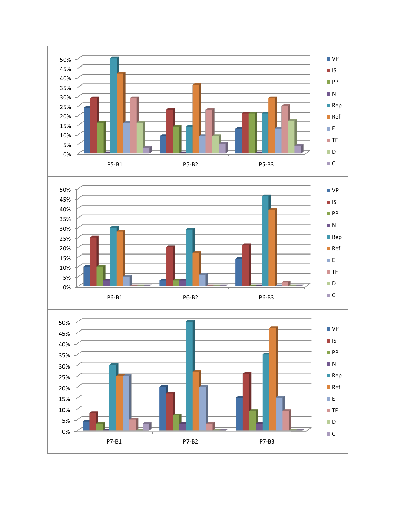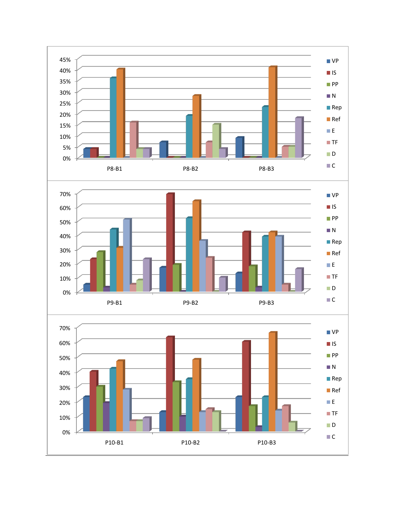